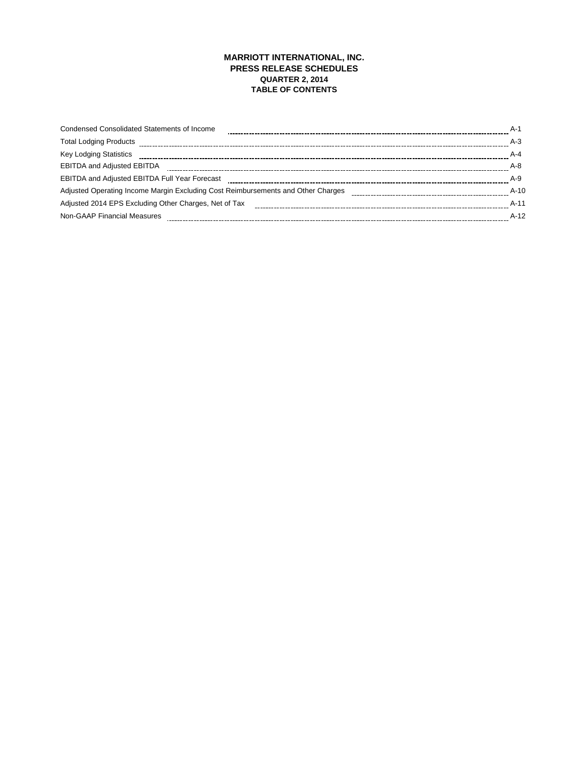# **MARRIOTT INTERNATIONAL, INC. PRESS RELEASE SCHEDULES QUARTER 2, 2014 TABLE OF CONTENTS**

| Condensed Consolidated Statements of Income                                      | A-1     |
|----------------------------------------------------------------------------------|---------|
| <b>Total Lodging Products</b>                                                    | $A-3$   |
| <b>Key Lodging Statistics</b>                                                    | $A - 4$ |
| <b>EBITDA and Adjusted EBITDA</b>                                                | $A - 8$ |
| <b>EBITDA and Adjusted EBITDA Full Year Forecast</b>                             | A-9     |
| Adjusted Operating Income Margin Excluding Cost Reimbursements and Other Charges | $A-10$  |
| Adjusted 2014 EPS Excluding Other Charges, Net of Tax                            | $A-11$  |
| Non-GAAP Financial Measures                                                      | $A-12$  |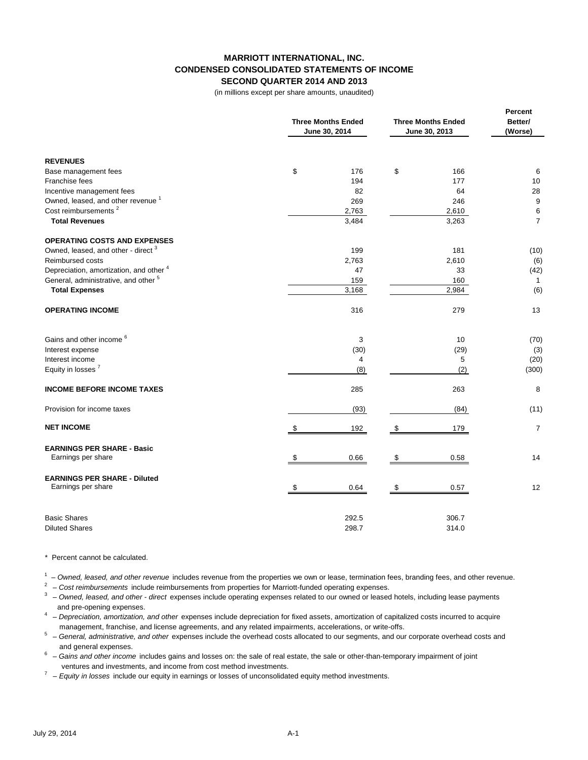### **MARRIOTT INTERNATIONAL, INC. CONDENSED CONSOLIDATED STATEMENTS OF INCOME SECOND QUARTER 2014 AND 2013**

(in millions except per share amounts, unaudited)

|                                                 | <b>Three Months Ended</b><br>June 30, 2014 | <b>Three Months Ended</b><br>June 30, 2013 | <b>Percent</b><br>Better/<br>(Worse) |  |
|-------------------------------------------------|--------------------------------------------|--------------------------------------------|--------------------------------------|--|
| <b>REVENUES</b>                                 |                                            |                                            |                                      |  |
| Base management fees                            | \$<br>176                                  | \$<br>166                                  | 6                                    |  |
| <b>Franchise fees</b>                           | 194                                        | 177                                        | 10                                   |  |
| Incentive management fees                       | 82                                         | 64                                         | 28                                   |  |
| Owned, leased, and other revenue <sup>1</sup>   | 269                                        | 246                                        | 9                                    |  |
| Cost reimbursements <sup>2</sup>                | 2,763                                      | 2,610                                      | 6                                    |  |
| <b>Total Revenues</b>                           | 3,484                                      | 3,263                                      | $\overline{7}$                       |  |
| <b>OPERATING COSTS AND EXPENSES</b>             |                                            |                                            |                                      |  |
| Owned, leased, and other - direct <sup>3</sup>  | 199                                        | 181                                        | (10)                                 |  |
| Reimbursed costs                                | 2,763                                      | 2,610                                      | (6)                                  |  |
| Depreciation, amortization, and other 4         | 47                                         | 33                                         | (42)                                 |  |
| General, administrative, and other <sup>5</sup> | 159                                        | 160                                        | $\mathbf{1}$                         |  |
| <b>Total Expenses</b>                           | 3,168                                      | 2,984                                      | (6)                                  |  |
| <b>OPERATING INCOME</b>                         | 316                                        | 279                                        | 13                                   |  |
| Gains and other income 6                        | 3                                          | 10                                         | (70)                                 |  |
| Interest expense                                | (30)                                       | (29)                                       | (3)                                  |  |
| Interest income                                 | $\overline{4}$                             | 5                                          | (20)                                 |  |
| Equity in losses <sup>7</sup>                   | (8)                                        | (2)                                        | (300)                                |  |
| <b>INCOME BEFORE INCOME TAXES</b>               | 285                                        | 263                                        | 8                                    |  |
| Provision for income taxes                      | (93)                                       | (84)                                       | (11)                                 |  |
| <b>NET INCOME</b>                               | 192<br>\$                                  | 179<br>-\$                                 | $\overline{7}$                       |  |
| <b>EARNINGS PER SHARE - Basic</b>               |                                            |                                            |                                      |  |
| Earnings per share                              | 0.66                                       | 0.58                                       | 14                                   |  |
| <b>EARNINGS PER SHARE - Diluted</b>             |                                            |                                            |                                      |  |
| Earnings per share                              | 0.64                                       | 0.57<br>\$.                                | 12                                   |  |
| <b>Basic Shares</b>                             | 292.5                                      | 306.7                                      |                                      |  |
| <b>Diluted Shares</b>                           | 298.7                                      | 314.0                                      |                                      |  |

\* Percent cannot be calculated.

1 – *Owned, leased, and other revenue* includes revenue from the properties we own or lease, termination fees, branding fees, and other revenue.

2 – *Cost reimbursements* include reimbursements from properties for Marriott-funded operating expenses.

3 – *Owned, leased, and other - direct* expenses include operating expenses related to our owned or leased hotels, including lease payments and pre-opening expenses.

4 – *Depreciation, amortization, and other* expenses include depreciation for fixed assets, amortization of capitalized costs incurred to acquire management, franchise, and license agreements, and any related impairments, accelerations, or write-offs.

5 – *General, administrative, and other* expenses include the overhead costs allocated to our segments, and our corporate overhead costs and and general expenses.

6 – *Gains and other income* includes gains and losses on: the sale of real estate, the sale or other-than-temporary impairment of joint ventures and investments, and income from cost method investments.

7 – *Equity in losses* include our equity in earnings or losses of unconsolidated equity method investments.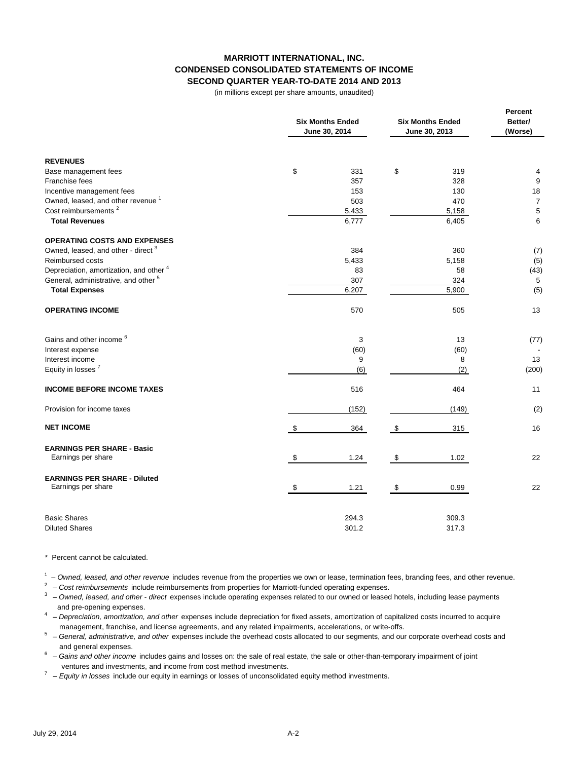### **MARRIOTT INTERNATIONAL, INC. CONDENSED CONSOLIDATED STATEMENTS OF INCOME SECOND QUARTER YEAR-TO-DATE 2014 AND 2013**

(in millions except per share amounts, unaudited)

|                                                         | <b>Six Months Ended</b><br>June 30, 2014 | <b>Six Months Ended</b><br>June 30, 2013 | Percent<br>Better/<br>(Worse) |                |
|---------------------------------------------------------|------------------------------------------|------------------------------------------|-------------------------------|----------------|
| <b>REVENUES</b>                                         |                                          |                                          |                               |                |
| Base management fees                                    | \$<br>331                                | \$                                       | 319                           | 4              |
| Franchise fees                                          | 357                                      |                                          | 328                           | 9              |
| Incentive management fees                               | 153                                      |                                          | 130                           | 18             |
| Owned, leased, and other revenue <sup>1</sup>           | 503                                      |                                          | 470                           | $\overline{7}$ |
| Cost reimbursements <sup>2</sup>                        | 5,433                                    |                                          | 5,158                         | 5              |
| <b>Total Revenues</b>                                   | 6,777                                    |                                          | 6,405                         | 6              |
| <b>OPERATING COSTS AND EXPENSES</b>                     |                                          |                                          |                               |                |
| Owned, leased, and other - direct <sup>3</sup>          | 384                                      |                                          | 360                           | (7)            |
| Reimbursed costs                                        | 5,433                                    |                                          | 5,158                         | (5)            |
| Depreciation, amortization, and other 4                 | 83                                       |                                          | 58                            | (43)           |
| General, administrative, and other <sup>5</sup>         | 307                                      |                                          | 324                           | 5              |
| <b>Total Expenses</b>                                   | 6,207                                    |                                          | 5,900                         | (5)            |
| <b>OPERATING INCOME</b>                                 | 570                                      |                                          | 505                           | 13             |
| Gains and other income <sup>6</sup>                     | 3                                        |                                          | 13                            | (77)           |
| Interest expense                                        | (60)                                     |                                          | (60)                          |                |
| Interest income                                         | 9                                        |                                          | 8                             | 13             |
| Equity in losses <sup>7</sup>                           | (6)                                      |                                          | (2)                           | (200)          |
| <b>INCOME BEFORE INCOME TAXES</b>                       | 516                                      |                                          | 464                           | 11             |
| Provision for income taxes                              | (152)                                    |                                          | (149)                         | (2)            |
| <b>NET INCOME</b>                                       | 364<br>\$                                | \$                                       | 315                           | 16             |
| <b>EARNINGS PER SHARE - Basic</b><br>Earnings per share | 1.24<br>\$                               | \$                                       | 1.02                          | 22             |
| <b>EARNINGS PER SHARE - Diluted</b>                     |                                          |                                          |                               |                |
| Earnings per share                                      | 1.21<br>S                                | \$                                       | 0.99                          | 22             |
| <b>Basic Shares</b>                                     | 294.3                                    |                                          | 309.3                         |                |
| <b>Diluted Shares</b>                                   | 301.2                                    |                                          | 317.3                         |                |

\* Percent cannot be calculated.

1 – *Owned, leased, and other revenue* includes revenue from the properties we own or lease, termination fees, branding fees, and other revenue.

2 – *Cost reimbursements* include reimbursements from properties for Marriott-funded operating expenses.

3 – *Owned, leased, and other - direct* expenses include operating expenses related to our owned or leased hotels, including lease payments and pre-opening expenses.

4 – *Depreciation, amortization, and other* expenses include depreciation for fixed assets, amortization of capitalized costs incurred to acquire management, franchise, and license agreements, and any related impairments, accelerations, or write-offs.

5 – *General, administrative, and other* expenses include the overhead costs allocated to our segments, and our corporate overhead costs and and general expenses.

6 – *Gains and other income* includes gains and losses on: the sale of real estate, the sale or other-than-temporary impairment of joint ventures and investments, and income from cost method investments.

7 – *Equity in losses* include our equity in earnings or losses of unconsolidated equity method investments.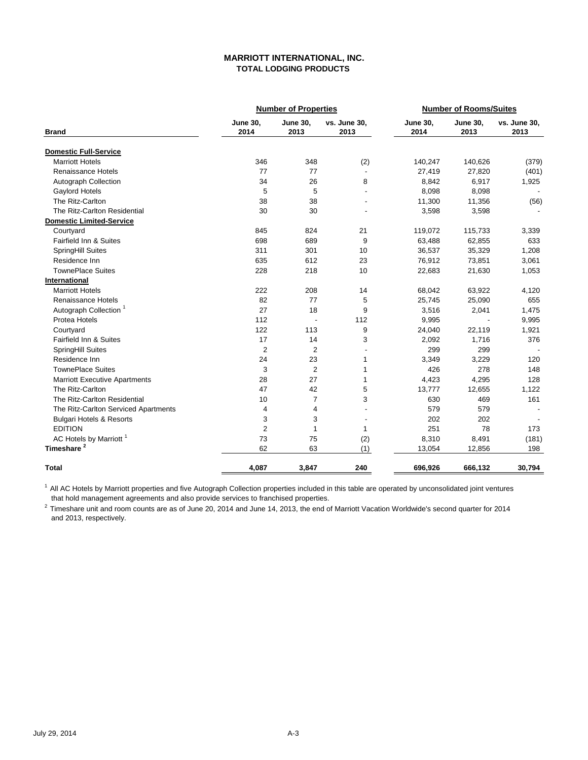# **MARRIOTT INTERNATIONAL, INC. TOTAL LODGING PRODUCTS**

|                                      |                         | <b>Number of Properties</b> |                      | <b>Number of Rooms/Suites</b> |                         |                      |  |
|--------------------------------------|-------------------------|-----------------------------|----------------------|-------------------------------|-------------------------|----------------------|--|
| <b>Brand</b>                         | <b>June 30,</b><br>2014 | <b>June 30,</b><br>2013     | vs. June 30,<br>2013 | <b>June 30,</b><br>2014       | <b>June 30,</b><br>2013 | vs. June 30,<br>2013 |  |
| <b>Domestic Full-Service</b>         |                         |                             |                      |                               |                         |                      |  |
| <b>Marriott Hotels</b>               | 346                     | 348                         | (2)                  | 140,247                       | 140,626                 | (379)                |  |
| <b>Renaissance Hotels</b>            | 77                      | 77                          | $\blacksquare$       | 27,419                        | 27,820                  | (401)                |  |
| Autograph Collection                 | 34                      | 26                          | 8                    | 8,842                         | 6,917                   | 1,925                |  |
| <b>Gaylord Hotels</b>                | 5                       | 5                           |                      | 8,098                         | 8,098                   |                      |  |
| The Ritz-Carlton                     | 38                      | 38                          |                      | 11,300                        | 11,356                  | (56)                 |  |
| The Ritz-Carlton Residential         | 30                      | 30                          |                      | 3,598                         | 3,598                   |                      |  |
| <b>Domestic Limited-Service</b>      |                         |                             |                      |                               |                         |                      |  |
| Courtyard                            | 845                     | 824                         | 21                   | 119,072                       | 115,733                 | 3,339                |  |
| Fairfield Inn & Suites               | 698                     | 689                         | 9                    | 63,488                        | 62,855                  | 633                  |  |
| SpringHill Suites                    | 311                     | 301                         | 10                   | 36,537                        | 35,329                  | 1,208                |  |
| Residence Inn                        | 635                     | 612                         | 23                   | 76,912                        | 73,851                  | 3,061                |  |
| <b>TownePlace Suites</b>             | 228                     | 218                         | 10                   | 22,683                        | 21,630                  | 1,053                |  |
| International                        |                         |                             |                      |                               |                         |                      |  |
| <b>Marriott Hotels</b>               | 222                     | 208                         | 14                   | 68,042                        | 63,922                  | 4,120                |  |
| <b>Renaissance Hotels</b>            | 82                      | 77                          | 5                    | 25,745                        | 25,090                  | 655                  |  |
| Autograph Collection <sup>1</sup>    | 27                      | 18                          | 9                    | 3,516                         | 2,041                   | 1,475                |  |
| Protea Hotels                        | 112                     |                             | 112                  | 9,995                         |                         | 9,995                |  |
| Courtyard                            | 122                     | 113                         | 9                    | 24,040                        | 22,119                  | 1,921                |  |
| Fairfield Inn & Suites               | 17                      | 14                          | 3                    | 2,092                         | 1,716                   | 376                  |  |
| SpringHill Suites                    | $\overline{2}$          | $\overline{2}$              |                      | 299                           | 299                     |                      |  |
| Residence Inn                        | 24                      | 23                          | 1                    | 3,349                         | 3,229                   | 120                  |  |
| <b>TownePlace Suites</b>             | 3                       | $\overline{2}$              | 1                    | 426                           | 278                     | 148                  |  |
| <b>Marriott Executive Apartments</b> | 28                      | 27                          | $\mathbf{1}$         | 4,423                         | 4,295                   | 128                  |  |
| The Ritz-Carlton                     | 47                      | 42                          | 5                    | 13,777                        | 12,655                  | 1,122                |  |
| The Ritz-Carlton Residential         | 10                      | $\overline{7}$              | 3                    | 630                           | 469                     | 161                  |  |
| The Ritz-Carlton Serviced Apartments | $\overline{4}$          | 4                           |                      | 579                           | 579                     |                      |  |
| <b>Bulgari Hotels &amp; Resorts</b>  | 3                       | 3                           |                      | 202                           | 202                     |                      |  |
| <b>EDITION</b>                       | $\overline{2}$          | 1                           | 1                    | 251                           | 78                      | 173                  |  |
| AC Hotels by Marriott <sup>1</sup>   | 73                      | 75                          | (2)                  | 8,310                         | 8,491                   | (181)                |  |
| Timeshare <sup>2</sup>               | 62                      | 63                          | (1)                  | 13,054                        | 12,856                  | 198                  |  |
| <b>Total</b>                         | 4,087                   | 3,847                       | 240                  | 696,926                       | 666,132                 | 30,794               |  |

 that hold management agreements and also provide services to franchised properties.  $1$  All AC Hotels by Marriott properties and five Autograph Collection properties included in this table are operated by unconsolidated joint ventures

<sup>2</sup> Timeshare unit and room counts are as of June 20, 2014 and June 14, 2013, the end of Marriott Vacation Worldwide's second quarter for 2014 and 2013, respectively.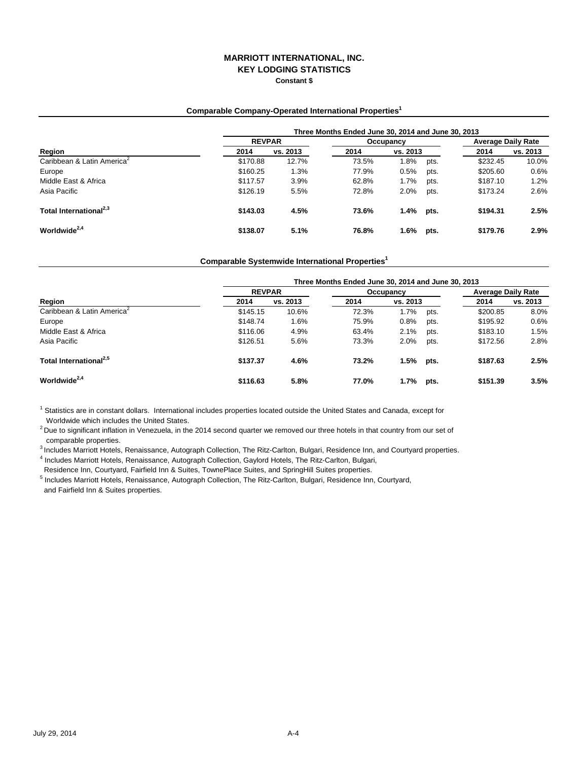### **MARRIOTT INTERNATIONAL, INC. KEY LODGING STATISTICS Constant \$**

### **Comparable Company-Operated International Properties1**

|                                        | Three Months Ended June 30, 2014 and June 30, 2013 |               |       |           |      |          |                           |  |
|----------------------------------------|----------------------------------------------------|---------------|-------|-----------|------|----------|---------------------------|--|
|                                        |                                                    | <b>REVPAR</b> |       | Occupancy |      |          | <b>Average Daily Rate</b> |  |
| Region                                 | 2014                                               | vs. 2013      | 2014  | vs. 2013  |      | 2014     | vs. 2013                  |  |
| Caribbean & Latin America <sup>2</sup> | \$170.88                                           | 12.7%         | 73.5% | 1.8%      | pts. | \$232.45 | 10.0%                     |  |
| Europe                                 | \$160.25                                           | 1.3%          | 77.9% | 0.5%      | pts. | \$205.60 | 0.6%                      |  |
| Middle East & Africa                   | \$117.57                                           | 3.9%          | 62.8% | 1.7%      | pts. | \$187.10 | 1.2%                      |  |
| Asia Pacific                           | \$126.19                                           | 5.5%          | 72.8% | 2.0%      | pts. | \$173.24 | 2.6%                      |  |
| Total International <sup>2,3</sup>     | \$143.03                                           | 4.5%          | 73.6% | 1.4%      | pts. | \$194.31 | 2.5%                      |  |
| Worldwide <sup>2,4</sup>               | \$138.07                                           | 5.1%          | 76.8% | 1.6%      | pts. | \$179.76 | 2.9%                      |  |

#### **Comparable Systemwide International Properties1**

|                                        | Three Months Ended June 30, 2014 and June 30, 2013 |          |           |          |      |                           |          |  |
|----------------------------------------|----------------------------------------------------|----------|-----------|----------|------|---------------------------|----------|--|
|                                        | <b>REVPAR</b>                                      |          | Occupancy |          |      | <b>Average Daily Rate</b> |          |  |
| Region                                 | 2014                                               | vs. 2013 | 2014      | vs. 2013 |      | 2014                      | vs. 2013 |  |
| Caribbean & Latin America <sup>2</sup> | \$145.15                                           | 10.6%    | 72.3%     | 1.7%     | pts. | \$200.85                  | 8.0%     |  |
| Europe                                 | \$148.74                                           | 1.6%     | 75.9%     | 0.8%     | pts. | \$195.92                  | 0.6%     |  |
| Middle East & Africa                   | \$116.06                                           | 4.9%     | 63.4%     | 2.1%     | pts. | \$183.10                  | 1.5%     |  |
| Asia Pacific                           | \$126.51                                           | 5.6%     | 73.3%     | 2.0%     | pts. | \$172.56                  | 2.8%     |  |
| Total International <sup>2,5</sup>     | \$137.37                                           | 4.6%     | 73.2%     | 1.5%     | pts. | \$187.63                  | 2.5%     |  |
| Worldwide <sup>2,4</sup>               | \$116.63                                           | 5.8%     | 77.0%     | 1.7%     | pts. | \$151.39                  | 3.5%     |  |

<sup>1</sup> Statistics are in constant dollars. International includes properties located outside the United States and Canada, except for Worldwide which includes the United States.

 $2$  Due to significant inflation in Venezuela, in the 2014 second quarter we removed our three hotels in that country from our set of comparable properties.

<sup>3</sup> Includes Marriott Hotels, Renaissance, Autograph Collection, The Ritz-Carlton, Bulgari, Residence Inn, and Courtyard properties.

4 Includes Marriott Hotels, Renaissance, Autograph Collection, Gaylord Hotels, The Ritz-Carlton, Bulgari,

Residence Inn, Courtyard, Fairfield Inn & Suites, TownePlace Suites, and SpringHill Suites properties.

<sup>5</sup> Includes Marriott Hotels, Renaissance, Autograph Collection, The Ritz-Carlton, Bulgari, Residence Inn, Courtyard, and Fairfield Inn & Suites properties.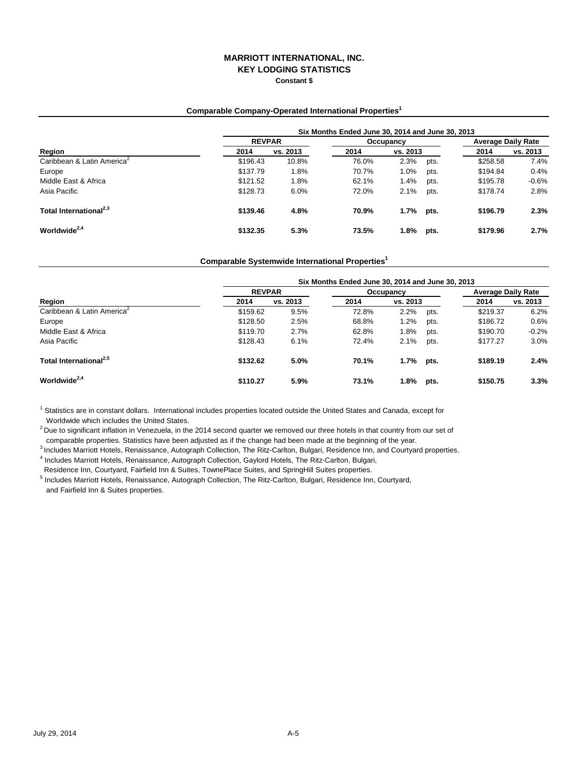#### **MARRIOTT INTERNATIONAL, INC. KEY LODGING STATISTICS Constant \$**

### **Comparable Company-Operated International Properties1**

|                                        |          | Six Months Ended June 30, 2014 and June 30, 2013 |       |           |      |          |                           |  |  |
|----------------------------------------|----------|--------------------------------------------------|-------|-----------|------|----------|---------------------------|--|--|
|                                        |          | <b>REVPAR</b>                                    |       | Occupancy |      |          | <b>Average Daily Rate</b> |  |  |
| Region                                 | 2014     | vs. 2013                                         | 2014  | vs. 2013  |      | 2014     | vs. 2013                  |  |  |
| Caribbean & Latin America <sup>2</sup> | \$196.43 | 10.8%                                            | 76.0% | 2.3%      | pts. | \$258.58 | 7.4%                      |  |  |
| Europe                                 | \$137.79 | 1.8%                                             | 70.7% | 1.0%      | pts. | \$194.84 | 0.4%                      |  |  |
| Middle East & Africa                   | \$121.52 | 1.8%                                             | 62.1% | 1.4%      | pts. | \$195.78 | $-0.6%$                   |  |  |
| Asia Pacific                           | \$128.73 | 6.0%                                             | 72.0% | 2.1%      | pts. | \$178.74 | 2.8%                      |  |  |
| Total International <sup>2,3</sup>     | \$139.46 | 4.8%                                             | 70.9% | 1.7%      | pts. | \$196.79 | 2.3%                      |  |  |
| Worldwide <sup>2,4</sup>               | \$132.35 | 5.3%                                             | 73.5% | 1.8%      | pts. | \$179.96 | 2.7%                      |  |  |

**Comparable Systemwide International Properties1**

|                                        | Six Months Ended June 30, 2014 and June 30, 2013 |          |       |           |      |                           |          |  |  |
|----------------------------------------|--------------------------------------------------|----------|-------|-----------|------|---------------------------|----------|--|--|
| Region                                 | <b>REVPAR</b>                                    |          |       | Occupancy |      | <b>Average Daily Rate</b> |          |  |  |
|                                        | 2014                                             | vs. 2013 | 2014  | vs. 2013  |      | 2014                      | vs. 2013 |  |  |
| Caribbean & Latin America <sup>2</sup> | \$159.62                                         | 9.5%     | 72.8% | 2.2%      | pts. | \$219.37                  | 6.2%     |  |  |
| Europe                                 | \$128.50                                         | 2.5%     | 68.8% | 1.2%      | pts. | \$186.72                  | 0.6%     |  |  |
| Middle East & Africa                   | \$119.70                                         | 2.7%     | 62.8% | 1.8%      | pts. | \$190.70                  | $-0.2%$  |  |  |
| Asia Pacific                           | \$128.43                                         | 6.1%     | 72.4% | 2.1%      | pts. | \$177.27                  | 3.0%     |  |  |
| Total International <sup>2,5</sup>     | \$132.62                                         | 5.0%     | 70.1% | $1.7\%$   | pts. | \$189.19                  | 2.4%     |  |  |
| Worldwide <sup>2,4</sup>               | \$110.27                                         | 5.9%     | 73.1% | 1.8%      | pts. | \$150.75                  | 3.3%     |  |  |

<sup>1</sup> Statistics are in constant dollars. International includes properties located outside the United States and Canada, except for Worldwide which includes the United States.

 $2$  Due to significant inflation in Venezuela, in the 2014 second quarter we removed our three hotels in that country from our set of comparable properties. Statistics have been adjusted as if the change had been made at the beginning of the year.

<sup>3</sup> Includes Marriott Hotels, Renaissance, Autograph Collection, The Ritz-Carlton, Bulgari, Residence Inn, and Courtyard properties.

4 Includes Marriott Hotels, Renaissance, Autograph Collection, Gaylord Hotels, The Ritz-Carlton, Bulgari, Residence Inn, Courtyard, Fairfield Inn & Suites, TownePlace Suites, and SpringHill Suites properties.

<sup>5</sup> Includes Marriott Hotels, Renaissance, Autograph Collection, The Ritz-Carlton, Bulgari, Residence Inn, Courtyard, and Fairfield Inn & Suites properties.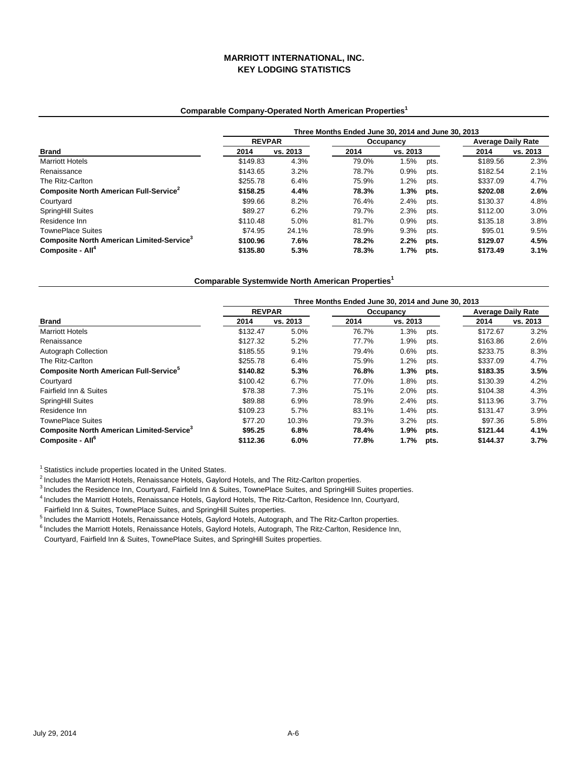# **MARRIOTT INTERNATIONAL, INC. KEY LODGING STATISTICS**

### **Comparable Company-Operated North American Properties1**

|                                                       | Three Months Ended June 30, 2014 and June 30, 2013 |               |       |           |      |                           |          |  |
|-------------------------------------------------------|----------------------------------------------------|---------------|-------|-----------|------|---------------------------|----------|--|
|                                                       |                                                    | <b>REVPAR</b> |       | Occupancy |      | <b>Average Daily Rate</b> |          |  |
| <b>Brand</b>                                          | 2014                                               | vs. 2013      | 2014  | vs. 2013  |      | 2014                      | vs. 2013 |  |
| <b>Marriott Hotels</b>                                | \$149.83                                           | 4.3%          | 79.0% | 1.5%      | pts. | \$189.56                  | 2.3%     |  |
| Renaissance                                           | \$143.65                                           | 3.2%          | 78.7% | 0.9%      | pts. | \$182.54                  | 2.1%     |  |
| The Ritz-Carlton                                      | \$255.78                                           | 6.4%          | 75.9% | 1.2%      | pts. | \$337.09                  | 4.7%     |  |
| Composite North American Full-Service <sup>2</sup>    | \$158.25                                           | 4.4%          | 78.3% | 1.3%      | pts. | \$202.08                  | 2.6%     |  |
| Courtyard                                             | \$99.66                                            | 8.2%          | 76.4% | 2.4%      | pts. | \$130.37                  | 4.8%     |  |
| SpringHill Suites                                     | \$89.27                                            | 6.2%          | 79.7% | 2.3%      | pts. | \$112.00                  | 3.0%     |  |
| Residence Inn                                         | \$110.48                                           | 5.0%          | 81.7% | 0.9%      | pts. | \$135.18                  | 3.8%     |  |
| <b>TownePlace Suites</b>                              | \$74.95                                            | 24.1%         | 78.9% | 9.3%      | pts. | \$95.01                   | 9.5%     |  |
| Composite North American Limited-Service <sup>3</sup> | \$100.96                                           | 7.6%          | 78.2% | 2.2%      | pts. | \$129.07                  | 4.5%     |  |
| Composite - All <sup>4</sup>                          | \$135.80                                           | 5.3%          | 78.3% | 1.7%      | pts. | \$173.49                  | 3.1%     |  |

#### **Comparable Systemwide North American Properties1**

|                                                       | Three Months Ended June 30, 2014 and June 30, 2013 |          |           |          |      |                           |          |  |
|-------------------------------------------------------|----------------------------------------------------|----------|-----------|----------|------|---------------------------|----------|--|
|                                                       | <b>REVPAR</b>                                      |          | Occupancy |          |      | <b>Average Daily Rate</b> |          |  |
| <b>Brand</b>                                          | 2014                                               | vs. 2013 | 2014      | vs. 2013 |      | 2014                      | vs. 2013 |  |
| <b>Marriott Hotels</b>                                | \$132.47                                           | 5.0%     | 76.7%     | 1.3%     | pts. | \$172.67                  | 3.2%     |  |
| Renaissance                                           | \$127.32                                           | 5.2%     | 77.7%     | 1.9%     | pts. | \$163.86                  | 2.6%     |  |
| Autograph Collection                                  | \$185.55                                           | 9.1%     | 79.4%     | 0.6%     | pts. | \$233.75                  | 8.3%     |  |
| The Ritz-Carlton                                      | \$255.78                                           | 6.4%     | 75.9%     | 1.2%     | pts. | \$337.09                  | 4.7%     |  |
| <b>Composite North American Full-Service</b>          | \$140.82                                           | 5.3%     | 76.8%     | 1.3%     | pts. | \$183.35                  | 3.5%     |  |
| Courtyard                                             | \$100.42                                           | 6.7%     | 77.0%     | 1.8%     | pts. | \$130.39                  | 4.2%     |  |
| Fairfield Inn & Suites                                | \$78.38                                            | 7.3%     | 75.1%     | 2.0%     | pts. | \$104.38                  | 4.3%     |  |
| <b>SpringHill Suites</b>                              | \$89.88                                            | 6.9%     | 78.9%     | 2.4%     | pts. | \$113.96                  | 3.7%     |  |
| Residence Inn                                         | \$109.23                                           | 5.7%     | 83.1%     | 1.4%     | pts. | \$131.47                  | 3.9%     |  |
| <b>TownePlace Suites</b>                              | \$77.20                                            | 10.3%    | 79.3%     | 3.2%     | pts. | \$97.36                   | 5.8%     |  |
| Composite North American Limited-Service <sup>3</sup> | \$95.25                                            | 6.8%     | 78.4%     | 1.9%     | pts. | \$121.44                  | 4.1%     |  |
| Composite - All <sup>6</sup>                          | \$112.36                                           | 6.0%     | 77.8%     | 1.7%     | pts. | \$144.37                  | 3.7%     |  |

<sup>1</sup> Statistics include properties located in the United States.

2 Includes the Marriott Hotels, Renaissance Hotels, Gaylord Hotels, and The Ritz-Carlton properties.

<sup>3</sup> Includes the Residence Inn, Courtyard, Fairfield Inn & Suites, TownePlace Suites, and SpringHill Suites properties.

4 Includes the Marriott Hotels, Renaissance Hotels, Gaylord Hotels, The Ritz-Carlton, Residence Inn, Courtyard,

Fairfield Inn & Suites, TownePlace Suites, and SpringHill Suites properties.

5 Includes the Marriott Hotels, Renaissance Hotels, Gaylord Hotels, Autograph, and The Ritz-Carlton properties.

<sup>6</sup> Includes the Marriott Hotels, Renaissance Hotels, Gaylord Hotels, Autograph, The Ritz-Carlton, Residence Inn,

Courtyard, Fairfield Inn & Suites, TownePlace Suites, and SpringHill Suites properties.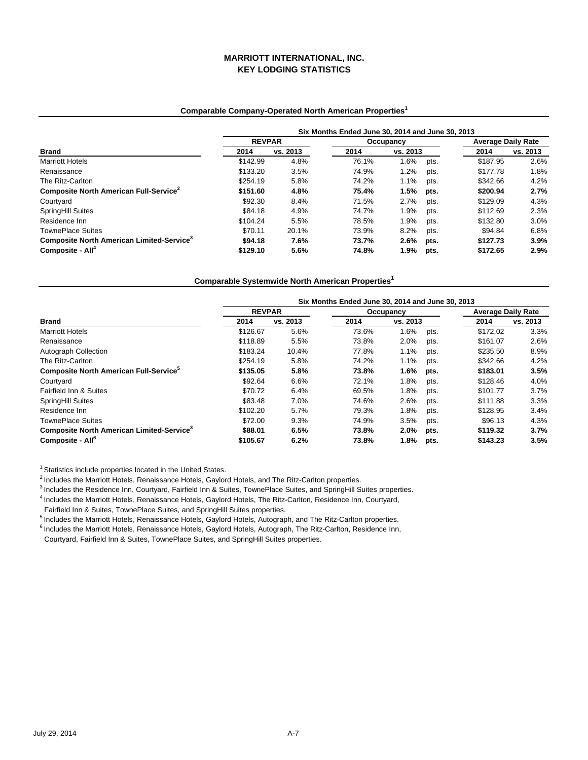# **MARRIOTT INTERNATIONAL, INC. KEY LODGING STATISTICS**

### **Comparable Company-Operated North American Properties1**

|                                                       | Six Months Ended June 30, 2014 and June 30, 2013 |          |           |          |      |                           |          |  |
|-------------------------------------------------------|--------------------------------------------------|----------|-----------|----------|------|---------------------------|----------|--|
|                                                       | <b>REVPAR</b>                                    |          | Occupancy |          |      | <b>Average Daily Rate</b> |          |  |
| <b>Brand</b>                                          | 2014                                             | vs. 2013 | 2014      | vs. 2013 |      | 2014                      | vs. 2013 |  |
| <b>Marriott Hotels</b>                                | \$142.99                                         | 4.8%     | 76.1%     | 1.6%     | pts. | \$187.95                  | 2.6%     |  |
| Renaissance                                           | \$133.20                                         | 3.5%     | 74.9%     | 1.2%     | pts. | \$177.78                  | 1.8%     |  |
| The Ritz-Carlton                                      | \$254.19                                         | 5.8%     | 74.2%     | 1.1%     | pts. | \$342.66                  | 4.2%     |  |
| Composite North American Full-Service <sup>2</sup>    | \$151.60                                         | 4.8%     | 75.4%     | 1.5%     | pts. | \$200.94                  | 2.7%     |  |
| Courtyard                                             | \$92.30                                          | 8.4%     | 71.5%     | 2.7%     | pts. | \$129.09                  | 4.3%     |  |
| <b>SpringHill Suites</b>                              | \$84.18                                          | 4.9%     | 74.7%     | 1.9%     | pts. | \$112.69                  | 2.3%     |  |
| Residence Inn                                         | \$104.24                                         | 5.5%     | 78.5%     | 1.9%     | pts. | \$132.80                  | 3.0%     |  |
| <b>TownePlace Suites</b>                              | \$70.11                                          | 20.1%    | 73.9%     | 8.2%     | pts. | \$94.84                   | 6.8%     |  |
| Composite North American Limited-Service <sup>3</sup> | \$94.18                                          | 7.6%     | 73.7%     | 2.6%     | pts. | \$127.73                  | 3.9%     |  |
| Composite - All <sup>4</sup>                          | \$129.10                                         | 5.6%     | 74.8%     | 1.9%     | pts. | \$172.65                  | 2.9%     |  |

**Comparable Systemwide North American Properties1**

|                                                       | Six Months Ended June 30, 2014 and June 30, 2013 |          |           |          |      |                           |          |  |
|-------------------------------------------------------|--------------------------------------------------|----------|-----------|----------|------|---------------------------|----------|--|
|                                                       | <b>REVPAR</b>                                    |          | Occupancy |          |      | <b>Average Daily Rate</b> |          |  |
| <b>Brand</b>                                          | 2014                                             | vs. 2013 | 2014      | vs. 2013 |      | 2014                      | vs. 2013 |  |
| <b>Marriott Hotels</b>                                | \$126.67                                         | 5.6%     | 73.6%     | 1.6%     | pts. | \$172.02                  | 3.3%     |  |
| Renaissance                                           | \$118.89                                         | 5.5%     | 73.8%     | 2.0%     | pts. | \$161.07                  | 2.6%     |  |
| Autograph Collection                                  | \$183.24                                         | 10.4%    | 77.8%     | 1.1%     | pts. | \$235.50                  | 8.9%     |  |
| The Ritz-Carlton                                      | \$254.19                                         | 5.8%     | 74.2%     | 1.1%     | pts. | \$342.66                  | 4.2%     |  |
| Composite North American Full-Service <sup>5</sup>    | \$135.05                                         | 5.8%     | 73.8%     | 1.6%     | pts. | \$183.01                  | 3.5%     |  |
| Courtyard                                             | \$92.64                                          | 6.6%     | 72.1%     | 1.8%     | pts. | \$128.46                  | 4.0%     |  |
| Fairfield Inn & Suites                                | \$70.72                                          | 6.4%     | 69.5%     | 1.8%     | pts. | \$101.77                  | 3.7%     |  |
| SpringHill Suites                                     | \$83.48                                          | 7.0%     | 74.6%     | 2.6%     | pts. | \$111.88                  | 3.3%     |  |
| Residence Inn                                         | \$102.20                                         | 5.7%     | 79.3%     | 1.8%     | pts. | \$128.95                  | 3.4%     |  |
| <b>TownePlace Suites</b>                              | \$72.00                                          | 9.3%     | 74.9%     | 3.5%     | pts. | \$96.13                   | 4.3%     |  |
| Composite North American Limited-Service <sup>3</sup> | \$88.01                                          | 6.5%     | 73.8%     | 2.0%     | pts. | \$119.32                  | 3.7%     |  |
| Composite - All <sup>6</sup>                          | \$105.67                                         | 6.2%     | 73.8%     | 1.8%     | pts. | \$143.23                  | 3.5%     |  |

<sup>1</sup> Statistics include properties located in the United States.

2 Includes the Marriott Hotels, Renaissance Hotels, Gaylord Hotels, and The Ritz-Carlton properties.

<sup>3</sup> Includes the Residence Inn, Courtyard, Fairfield Inn & Suites, TownePlace Suites, and SpringHill Suites properties.

4 Includes the Marriott Hotels, Renaissance Hotels, Gaylord Hotels, The Ritz-Carlton, Residence Inn, Courtyard,

Fairfield Inn & Suites, TownePlace Suites, and SpringHill Suites properties.

5 Includes the Marriott Hotels, Renaissance Hotels, Gaylord Hotels, Autograph, and The Ritz-Carlton properties.

<sup>6</sup> Includes the Marriott Hotels, Renaissance Hotels, Gaylord Hotels, Autograph, The Ritz-Carlton, Residence Inn,

Courtyard, Fairfield Inn & Suites, TownePlace Suites, and SpringHill Suites properties.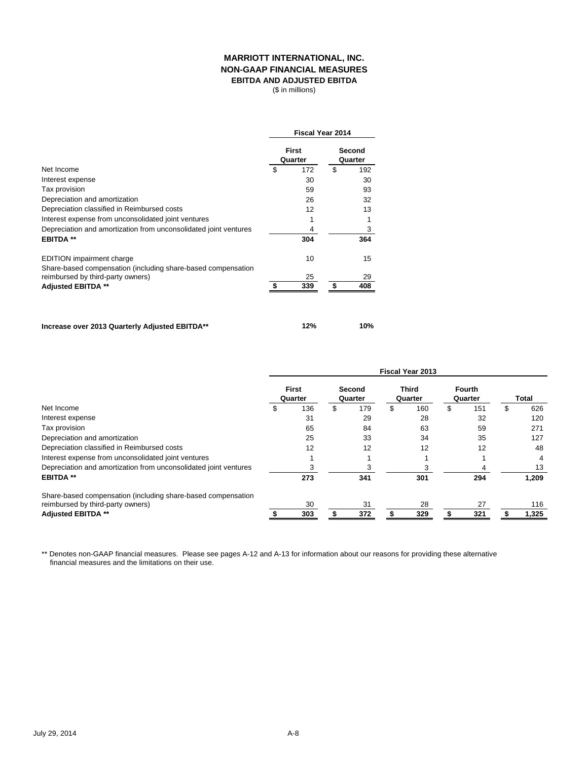# **MARRIOTT INTERNATIONAL, INC. NON-GAAP FINANCIAL MEASURES EBITDA AND ADJUSTED EBITDA**

(\$ in millions)

|                                                                                                  | <b>Fiscal Year 2014</b> |     |                   |     |
|--------------------------------------------------------------------------------------------------|-------------------------|-----|-------------------|-----|
|                                                                                                  | <b>First</b><br>Quarter |     | Second<br>Quarter |     |
| Net Income                                                                                       | \$                      | 172 | \$                | 192 |
| Interest expense                                                                                 |                         | 30  |                   | 30  |
| Tax provision                                                                                    |                         | 59  |                   | 93  |
| Depreciation and amortization                                                                    |                         | 26  |                   | 32  |
| Depreciation classified in Reimbursed costs                                                      |                         | 12  |                   | 13  |
| Interest expense from unconsolidated joint ventures                                              |                         |     |                   |     |
| Depreciation and amortization from unconsolidated joint ventures                                 |                         | 4   |                   | 3   |
| <b>EBITDA **</b>                                                                                 |                         | 304 |                   | 364 |
| <b>EDITION</b> impairment charge<br>Share-based compensation (including share-based compensation |                         | 10  |                   | 15  |
| reimbursed by third-party owners)                                                                |                         | 25  |                   | 29  |
| Adjusted EBITDA **                                                                               |                         | 339 |                   | 408 |
|                                                                                                  |                         |     |                   |     |

**Increase over 2013 Quarterly Adjusted EBITDA\*\* 12% 10%**

|                                                                  | <b>Fiscal Year 2013</b> |                         |    |                   |    |                         |    |                          |    |              |  |
|------------------------------------------------------------------|-------------------------|-------------------------|----|-------------------|----|-------------------------|----|--------------------------|----|--------------|--|
|                                                                  |                         | <b>First</b><br>Quarter |    | Second<br>Quarter |    | <b>Third</b><br>Quarter |    | <b>Fourth</b><br>Quarter |    | <b>Total</b> |  |
| Net Income                                                       | S                       | 136                     | \$ | 179               | \$ | 160                     | \$ | 151                      | \$ | 626          |  |
| Interest expense                                                 |                         | 31                      |    | 29                |    | 28                      |    | 32                       |    | 120          |  |
| Tax provision                                                    |                         | 65                      |    | 84                |    | 63                      |    | 59                       |    | 271          |  |
| Depreciation and amortization                                    |                         | 25                      |    | 33                |    | 34                      |    | 35                       |    | 127          |  |
| Depreciation classified in Reimbursed costs                      |                         | $12 \overline{ }$       |    | 12                |    | 12                      |    | 12                       |    | 48           |  |
| Interest expense from unconsolidated joint ventures              |                         |                         |    |                   |    |                         |    |                          |    | 4            |  |
| Depreciation and amortization from unconsolidated joint ventures |                         |                         |    |                   |    |                         |    |                          |    | 13           |  |
| <b>EBITDA**</b>                                                  |                         | 273                     |    | 341               |    | 301                     |    | 294                      |    | 1,209        |  |
| Share-based compensation (including share-based compensation     |                         |                         |    |                   |    |                         |    |                          |    |              |  |
| reimbursed by third-party owners)                                |                         | 30                      |    | 31                |    | 28                      |    | 27                       |    | 116          |  |
| <b>Adjusted EBITDA **</b>                                        |                         | 303                     |    | 372               |    | 329                     |    | 321                      |    | 1,325        |  |

\*\* Denotes non-GAAP financial measures. Please see pages A-12 and A-13 for information about our reasons for providing these alternative financial measures and the limitations on their use.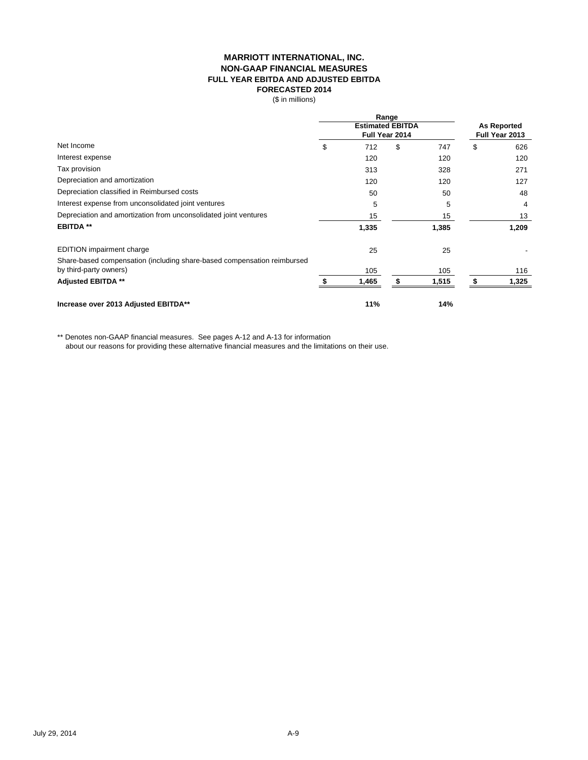#### **MARRIOTT INTERNATIONAL, INC. NON-GAAP FINANCIAL MEASURES FULL YEAR EBITDA AND ADJUSTED EBITDA FORECASTED 2014**

(\$ in millions)

|                                                                                                   | Range                   |       |                |                    |    |                |
|---------------------------------------------------------------------------------------------------|-------------------------|-------|----------------|--------------------|----|----------------|
|                                                                                                   | <b>Estimated EBITDA</b> |       |                | <b>As Reported</b> |    |                |
|                                                                                                   |                         |       | Full Year 2014 |                    |    | Full Year 2013 |
| Net Income                                                                                        | \$                      | 712   | \$             | 747                | \$ | 626            |
| Interest expense                                                                                  |                         | 120   |                | 120                |    | 120            |
| Tax provision                                                                                     |                         | 313   |                | 328                |    | 271            |
| Depreciation and amortization                                                                     |                         | 120   |                | 120                |    | 127            |
| Depreciation classified in Reimbursed costs                                                       |                         | 50    |                | 50                 |    | 48             |
| Interest expense from unconsolidated joint ventures                                               |                         | 5     |                | 5                  |    | 4              |
| Depreciation and amortization from unconsolidated joint ventures                                  |                         | 15    |                | 15                 |    | 13             |
| <b>EBITDA **</b>                                                                                  |                         | 1,335 |                | 1,385              |    | 1,209          |
| EDITION impairment charge                                                                         |                         | 25    |                | 25                 |    |                |
| Share-based compensation (including share-based compensation reimbursed<br>by third-party owners) |                         |       |                |                    |    |                |
|                                                                                                   |                         | 105   |                | 105                |    | 116            |
| <b>Adjusted EBITDA **</b>                                                                         |                         | 1,465 | S              | 1,515              |    | 1,325          |
| Increase over 2013 Adjusted EBITDA**                                                              |                         | 11%   |                | 14%                |    |                |

\*\* Denotes non-GAAP financial measures. See pages A-12 and A-13 for information

about our reasons for providing these alternative financial measures and the limitations on their use.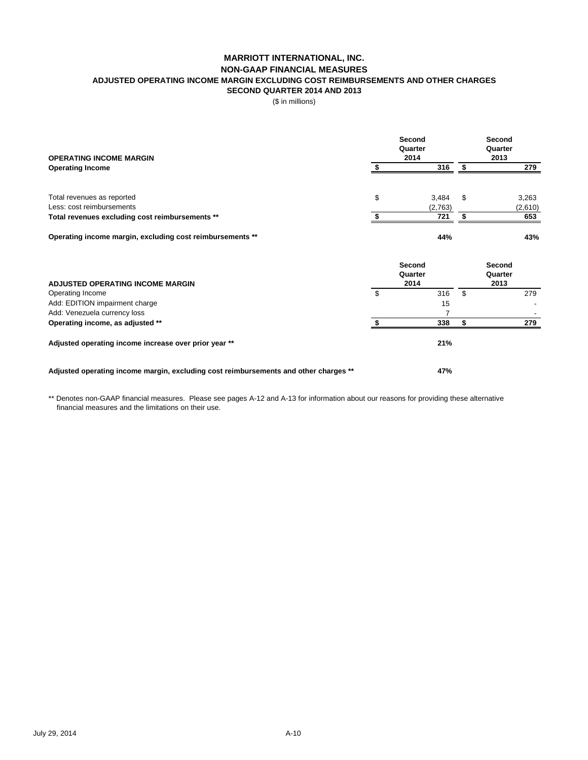### **MARRIOTT INTERNATIONAL, INC. NON-GAAP FINANCIAL MEASURES ADJUSTED OPERATING INCOME MARGIN EXCLUDING COST REIMBURSEMENTS AND OTHER CHARGES SECOND QUARTER 2014 AND 2013**

(\$ in millions)

| <b>OPERATING INCOME MARGIN</b>                            | Second<br>Quarter<br>2014 | Second<br>Quarter<br>2013 |     |         |
|-----------------------------------------------------------|---------------------------|---------------------------|-----|---------|
| <b>Operating Income</b>                                   |                           | 316                       |     | 279     |
| Total revenues as reported                                | \$                        | 3.484                     | \$. | 3,263   |
| Less: cost reimbursements                                 |                           | (2,763)                   |     | (2,610) |
| Total revenues excluding cost reimbursements **           |                           | 721                       |     | 653     |
| Operating income margin, excluding cost reimbursements ** |                           | 44%                       |     | 43%     |

| ADJUSTED OPERATING INCOME MARGIN                      | Second<br>Quarter<br>2014 | Second<br>Quarter<br>2013 |  |     |
|-------------------------------------------------------|---------------------------|---------------------------|--|-----|
| Operating Income                                      | S                         | 316                       |  | 279 |
| Add: EDITION impairment charge                        |                           | 15                        |  |     |
| Add: Venezuela currency loss                          |                           |                           |  |     |
| Operating income, as adjusted **                      |                           | 338                       |  | 279 |
| Adjusted operating income increase over prior year ** |                           | 21%                       |  |     |

**Adjusted operating income margin, excluding cost reimbursements and other charges \*\* 47%**

\*\* Denotes non-GAAP financial measures. Please see pages A-12 and A-13 for information about our reasons for providing these alternative financial measures and the limitations on their use.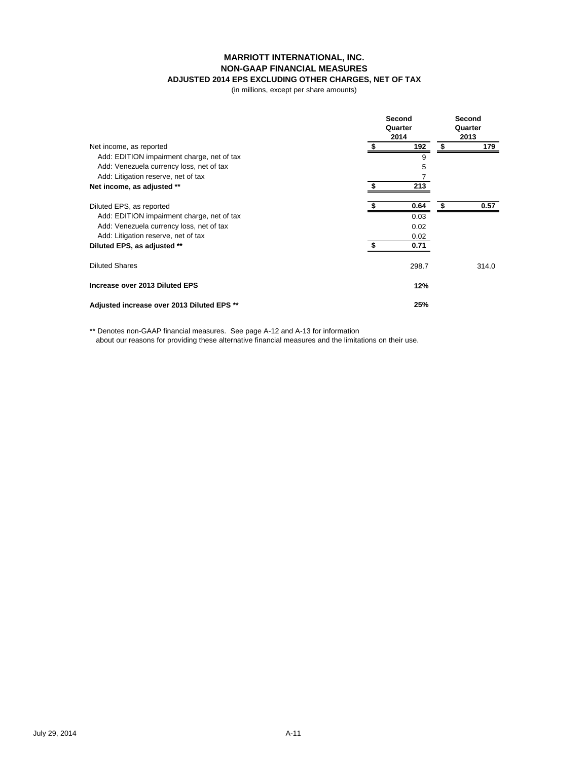### **MARRIOTT INTERNATIONAL, INC. NON-GAAP FINANCIAL MEASURES ADJUSTED 2014 EPS EXCLUDING OTHER CHARGES, NET OF TAX**

(in millions, except per share amounts)

|                                            | Second<br>Quarter<br>2014 | Second<br>Quarter<br>2013 |    |       |
|--------------------------------------------|---------------------------|---------------------------|----|-------|
| Net income, as reported                    |                           | 192                       | \$ | 179   |
| Add: EDITION impairment charge, net of tax |                           | 9                         |    |       |
| Add: Venezuela currency loss, net of tax   |                           | 5                         |    |       |
| Add: Litigation reserve, net of tax        |                           |                           |    |       |
| Net income, as adjusted **                 | \$                        | 213                       |    |       |
| Diluted EPS, as reported                   |                           | 0.64                      |    | 0.57  |
| Add: EDITION impairment charge, net of tax |                           | 0.03                      |    |       |
| Add: Venezuela currency loss, net of tax   |                           | 0.02                      |    |       |
| Add: Litigation reserve, net of tax        |                           | 0.02                      |    |       |
| Diluted EPS, as adjusted **                |                           | 0.71                      |    |       |
| <b>Diluted Shares</b>                      |                           | 298.7                     |    | 314.0 |
| Increase over 2013 Diluted EPS             |                           | 12%                       |    |       |
| Adjusted increase over 2013 Diluted EPS ** |                           | 25%                       |    |       |

\*\* Denotes non-GAAP financial measures. See page A-12 and A-13 for information about our reasons for providing these alternative financial measures and the limitations on their use.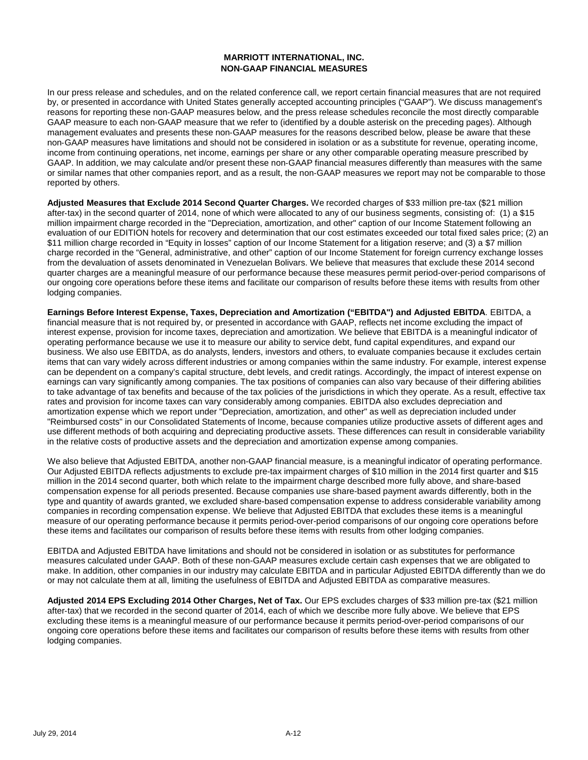## **MARRIOTT INTERNATIONAL, INC. NON-GAAP FINANCIAL MEASURES**

In our press release and schedules, and on the related conference call, we report certain financial measures that are not required by, or presented in accordance with United States generally accepted accounting principles ("GAAP"). We discuss management's reasons for reporting these non‐GAAP measures below, and the press release schedules reconcile the most directly comparable GAAP measure to each non‐GAAP measure that we refer to (identified by a double asterisk on the preceding pages). Although management evaluates and presents these non‐GAAP measures for the reasons described below, please be aware that these non‐GAAP measures have limitations and should not be considered in isolation or as a substitute for revenue, operating income, income from continuing operations, net income, earnings per share or any other comparable operating measure prescribed by GAAP. In addition, we may calculate and/or present these non‐GAAP financial measures differently than measures with the same or similar names that other companies report, and as a result, the non‐GAAP measures we report may not be comparable to those reported by others.

**Adjusted Measures that Exclude 2014 Second Quarter Charges.** We recorded charges of \$33 million pre‐tax (\$21 million after-tax) in the second quarter of 2014, none of which were allocated to any of our business segments, consisting of: (1) a \$15 million impairment charge recorded in the "Depreciation, amortization, and other" caption of our Income Statement following an evaluation of our EDITION hotels for recovery and determination that our cost estimates exceeded our total fixed sales price; (2) an \$11 million charge recorded in "Equity in losses" caption of our Income Statement for a litigation reserve; and (3) a \$7 million charge recorded in the "General, administrative, and other" caption of our Income Statement for foreign currency exchange losses from the devaluation of assets denominated in Venezuelan Bolivars. We believe that measures that exclude these 2014 second quarter charges are a meaningful measure of our performance because these measures permit period-over-period comparisons of our ongoing core operations before these items and facilitate our comparison of results before these items with results from other lodging companies.

**Earnings Before Interest Expense, Taxes, Depreciation and Amortization ("EBITDA") and Adjusted EBITDA**. EBITDA, a financial measure that is not required by, or presented in accordance with GAAP, reflects net income excluding the impact of interest expense, provision for income taxes, depreciation and amortization. We believe that EBITDA is a meaningful indicator of operating performance because we use it to measure our ability to service debt, fund capital expenditures, and expand our business. We also use EBITDA, as do analysts, lenders, investors and others, to evaluate companies because it excludes certain items that can vary widely across different industries or among companies within the same industry. For example, interest expense can be dependent on a company's capital structure, debt levels, and credit ratings. Accordingly, the impact of interest expense on earnings can vary significantly among companies. The tax positions of companies can also vary because of their differing abilities to take advantage of tax benefits and because of the tax policies of the jurisdictions in which they operate. As a result, effective tax rates and provision for income taxes can vary considerably among companies. EBITDA also excludes depreciation and amortization expense which we report under "Depreciation, amortization, and other" as well as depreciation included under "Reimbursed costs" in our Consolidated Statements of Income, because companies utilize productive assets of different ages and use different methods of both acquiring and depreciating productive assets. These differences can result in considerable variability in the relative costs of productive assets and the depreciation and amortization expense among companies.

We also believe that Adjusted EBITDA, another non-GAAP financial measure, is a meaningful indicator of operating performance. Our Adjusted EBITDA reflects adjustments to exclude pre-tax impairment charges of \$10 million in the 2014 first quarter and \$15 million in the 2014 second quarter, both which relate to the impairment charge described more fully above, and share-based compensation expense for all periods presented. Because companies use share-based payment awards differently, both in the type and quantity of awards granted, we excluded share-based compensation expense to address considerable variability among companies in recording compensation expense. We believe that Adjusted EBITDA that excludes these items is a meaningful measure of our operating performance because it permits period-over-period comparisons of our ongoing core operations before these items and facilitates our comparison of results before these items with results from other lodging companies.

EBITDA and Adjusted EBITDA have limitations and should not be considered in isolation or as substitutes for performance measures calculated under GAAP. Both of these non-GAAP measures exclude certain cash expenses that we are obligated to make. In addition, other companies in our industry may calculate EBITDA and in particular Adjusted EBITDA differently than we do or may not calculate them at all, limiting the usefulness of EBITDA and Adjusted EBITDA as comparative measures.

**Adjusted 2014 EPS Excluding 2014 Other Charges, Net of Tax.** Our EPS excludes charges of \$33 million pre‐tax (\$21 million after-tax) that we recorded in the second quarter of 2014, each of which we describe more fully above. We believe that EPS excluding these items is a meaningful measure of our performance because it permits period-over-period comparisons of our ongoing core operations before these items and facilitates our comparison of results before these items with results from other lodging companies.